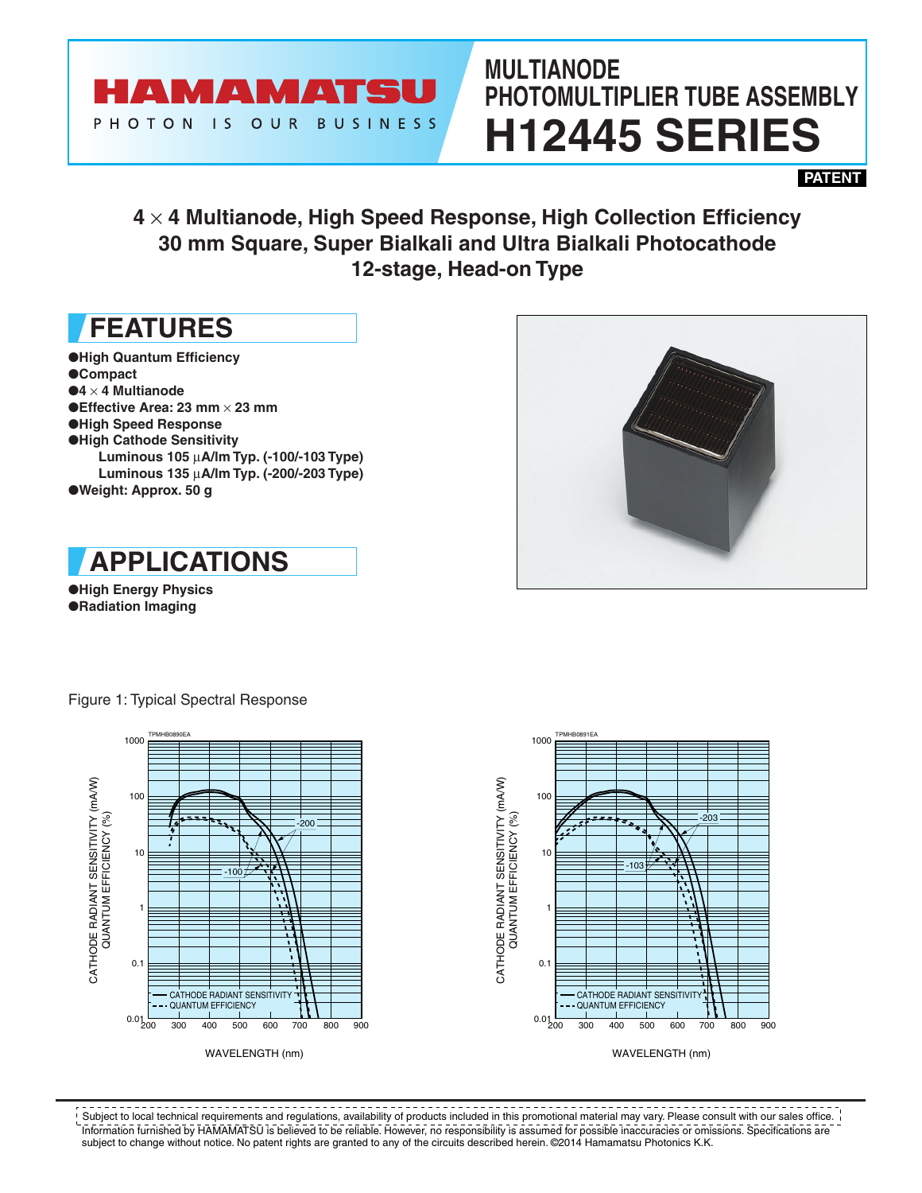

# **MULTIANODE PHOTOMULTIPLIER TUBE ASSEMBLY H12445 SERIES**

**PATENT**

### **4** × **4 Multianode, High Speed Response, High Collection Efficiency 30 mm Square, Super Bialkali and Ultra Bialkali Photocathode 12-stage, Head-on Type**

### **FEATURES**

●**High Quantum Efficiency** ●**Compact** ●**4** × **4 Multianode** ●**Effective Area: 23 mm** × **23 mm** ●**High Speed Response** ●**High Cathode Sensitivity Luminous 105** µ**A/lm Typ. (-100/-103 Type) Luminous 135** µ**A/lm Typ. (-200/-203 Type)** ●**Weight: Approx. 50 g**



●**High Energy Physics** ●**Radiation Imaging**

Figure 1: Typical Spectral Response





 $- - - - - -$ \_\_\_\_\_\_\_\_\_\_\_\_ Subject to local technical requirements and regulations, availability of products included in this promotional material may vary. Please consult with our sales office. Information furnished by HAMAMATSU is believed to be reliable. However, no responsibility is assumed for possible inaccuracies or omissions. Specifications are subject to change without notice. No patent rights are granted to any of the circuits described herein. ©2014 Hamamatsu Photonics K.K.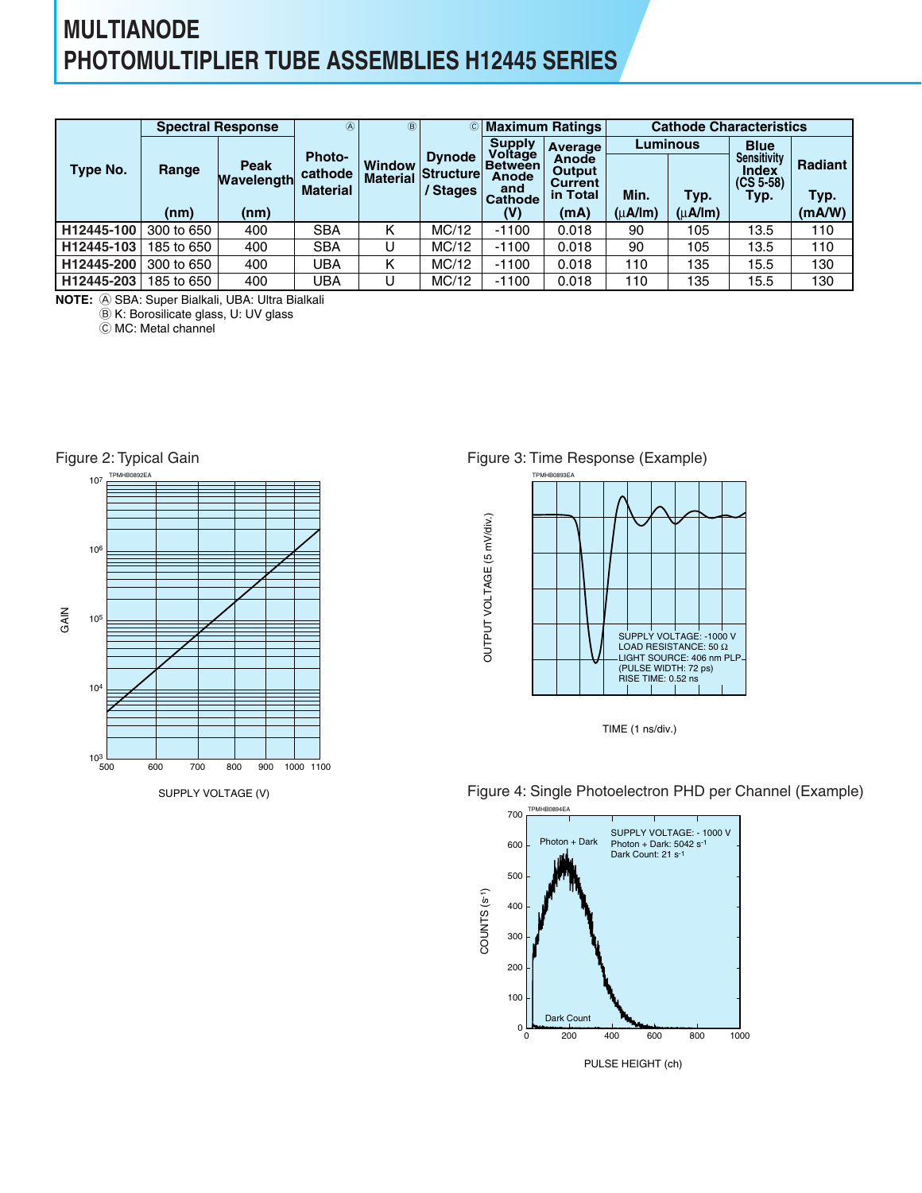### **MULTIANODE PHOTOMULTIPLIER TUBE ASSEMBLIES H12445 SERIES**

|            |            | <b>Spectral Response</b> | $^{\circledR}$                              | $\circledR$                      | $\circled{c}$<br><b>Dynode</b><br><b>Structure</b><br>/ Stages |                                                  | <b>Maximum Ratings</b>                               | <b>Cathode Characteristics</b> |                |                                                    |                 |  |
|------------|------------|--------------------------|---------------------------------------------|----------------------------------|----------------------------------------------------------------|--------------------------------------------------|------------------------------------------------------|--------------------------------|----------------|----------------------------------------------------|-----------------|--|
|            |            |                          |                                             |                                  |                                                                | <b>Supply</b><br>Voltage                         | <b>Average</b>                                       | Luminous                       |                | <b>Blue</b>                                        |                 |  |
| Type No.   | Range      | Peak<br>Wavelength       | <b>Photo-</b><br>cathode<br><b>Material</b> | <b>Window</b><br><b>Material</b> |                                                                | <b>Between</b><br>Anode<br>and<br><b>Cathode</b> | <b>Anode</b><br>Output<br><b>Current</b><br>in Total | Min.                           | Typ.           | <b>Sensitivity</b><br>Index<br>$(CS 5-58)$<br>Typ. | Radiant<br>Typ. |  |
|            | (nm)       | (nm)                     |                                             |                                  |                                                                | (V)                                              | (mA)                                                 | $(\mu$ A/Im)                   | $(\mu A / Im)$ |                                                    | (mA/W)          |  |
| H12445-100 | 300 to 650 | 400                      | <b>SBA</b>                                  | κ                                | MC/12                                                          | $-1100$                                          | 0.018                                                | 90                             | 105            | 13.5                                               | 110             |  |
| H12445-103 | 185 to 650 | 400                      | <b>SBA</b>                                  | U                                | MC/12                                                          | $-1100$                                          | 0.018                                                | 90                             | 105            | 13.5                                               | 110             |  |
| H12445-200 | 300 to 650 | 400                      | UBA                                         | Κ                                | MC/12                                                          | $-1100$                                          | 0.018                                                | 110                            | 135            | 15.5                                               | 130             |  |
| H12445-203 | 185 to 650 | 400                      | UBA                                         | U                                | MC/12                                                          | $-1100$                                          | 0.018                                                | 110                            | 135            | 15.5                                               | 130             |  |

A SBA: Super Bialkali, UBA: Ultra Bialkali **NOTE:**

B K: Borosilicate glass, U: UV glass

C MC: Metal channel



Figure 3: Time Response (Example)



TIME (1 ns/div.)



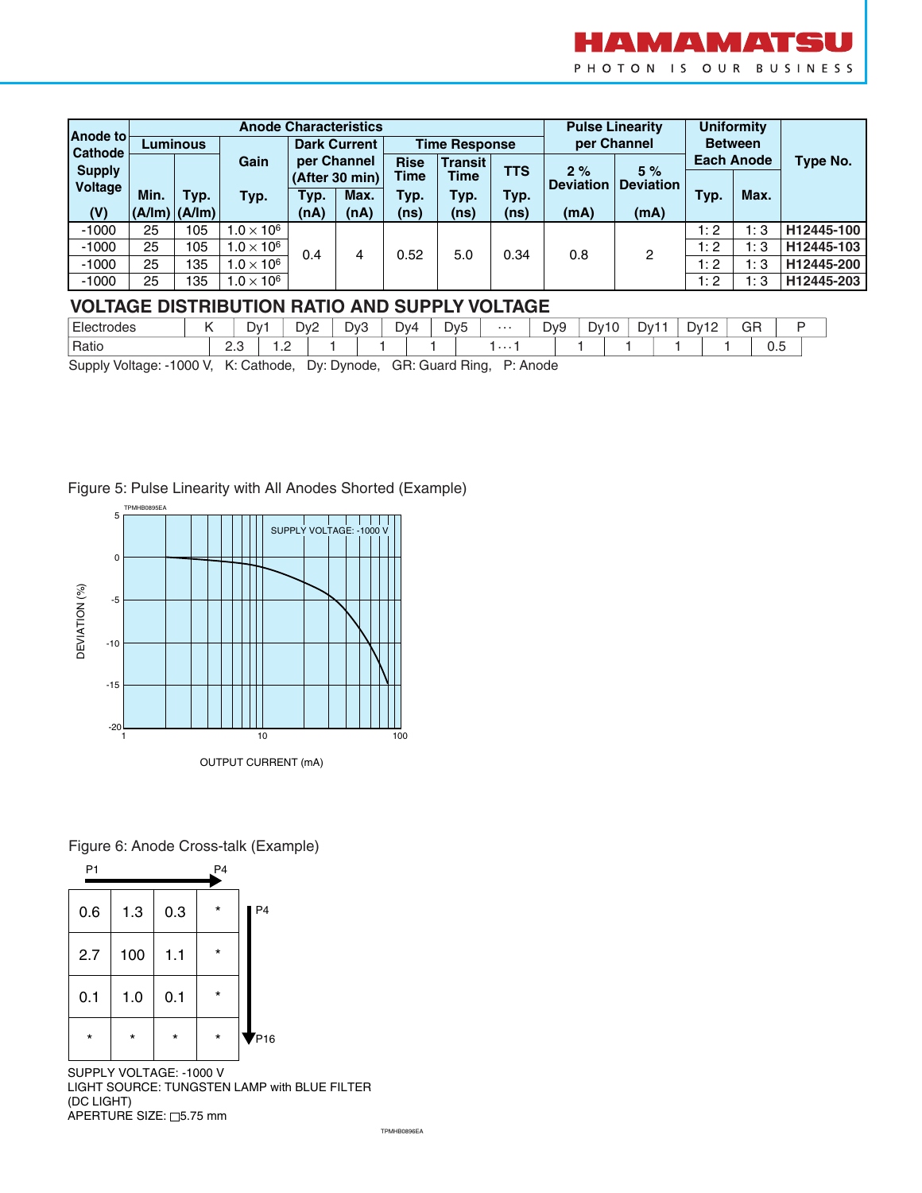

| Anode to      |                 |                   |                     |                     | <b>Anode Characteristics</b> |                      |                | <b>Pulse Linearity</b> | <b>Uniformity</b>      |                  |                   |      |            |  |
|---------------|-----------------|-------------------|---------------------|---------------------|------------------------------|----------------------|----------------|------------------------|------------------------|------------------|-------------------|------|------------|--|
| Cathode       | <b>Luminous</b> |                   |                     | <b>Dark Current</b> |                              | <b>Time Response</b> |                |                        | per Channel            | <b>Between</b>   |                   |      |            |  |
| <b>Supply</b> |                 |                   | Gain                | per Channel         |                              | <b>Rise</b>          | <b>Transit</b> |                        |                        | 5%               | <b>Each Anode</b> |      | Type No.   |  |
| Voltage       |                 |                   |                     |                     | (After 30 min)               | Time<br><b>Time</b>  |                | <b>TTS</b>             | 2%<br><b>Deviation</b> | <b>Deviation</b> |                   |      |            |  |
|               | Min.            | Typ.              | Typ.                | Typ.                | Max.                         | Typ.                 | Typ.           | Typ.                   |                        |                  | Typ.              | Max. |            |  |
| (V)           |                 | $(A/Im)$ $(A/Im)$ |                     | (nA)                | (nA)                         | (ns)                 | (ns)           | (n <sub>s</sub> )      | (mA)                   | (mA)             |                   |      |            |  |
| $-1000$       | 25              | 105               | $1.0 \times 10^{6}$ | 0.4                 | 4                            |                      | 5.0            | 0.34                   | 0.8                    | 2                | 1:2               | 1:3  | H12445-100 |  |
| $-1000$       | 25              | 105               | $1.0 \times 10^{6}$ |                     |                              | 0.52                 |                |                        |                        |                  | 1:2               | 1:3  | H12445-103 |  |
| $-1000$       | 25              | 135               | $1.0 \times 10^{6}$ |                     |                              |                      |                |                        |                        |                  | 1:2               | 1:3  | H12445-200 |  |
| $-1000$       | 25              | 135               | $1.0 \times 10^{6}$ |                     |                              |                      |                |                        |                        |                  | 1:2               | 1:3  | H12445-203 |  |

### **VOLTAGE DISTRIBUTION RATIO AND SUPPLY VOLTAGE**

| $-$<br>trodes<br>$F_{\text{A}}$<br>∟।੮ |           | Dv1 | Dv2<br>$\sqrt{2}$        | D <sub>v</sub> 3 | -<br>ے ، | Dv4 | D <sub>v</sub> <sub>5</sub> | . | Dv9 | –<br>∟∨້ | $\sim$<br>⊃∨1<br>1 U | Dv12 | GR<br>$\sim$      |  |
|----------------------------------------|-----------|-----|--------------------------|------------------|----------|-----|-----------------------------|---|-----|----------|----------------------|------|-------------------|--|
| Ratio                                  | - -<br>ے، |     | $\overline{\phantom{a}}$ |                  |          |     |                             | . |     |          |                      |      | $\sim$ $-$<br>∪.∪ |  |

Supply Voltage: -1000 V, K: Cathode, Dy: Dynode, GR: Guard Ring, P: Anode

#### Figure 5: Pulse Linearity with All Anodes Shorted (Example)



Figure 6: Anode Cross-talk (Example)



SUPPLY VOLTAGE: -1000 V LIGHT SOURCE: TUNGSTEN LAMP with BLUE FILTER (DC LIGHT)  $APERTURE$  SIZE:  $\square$ 5.75 mm

TPMHB0896EA